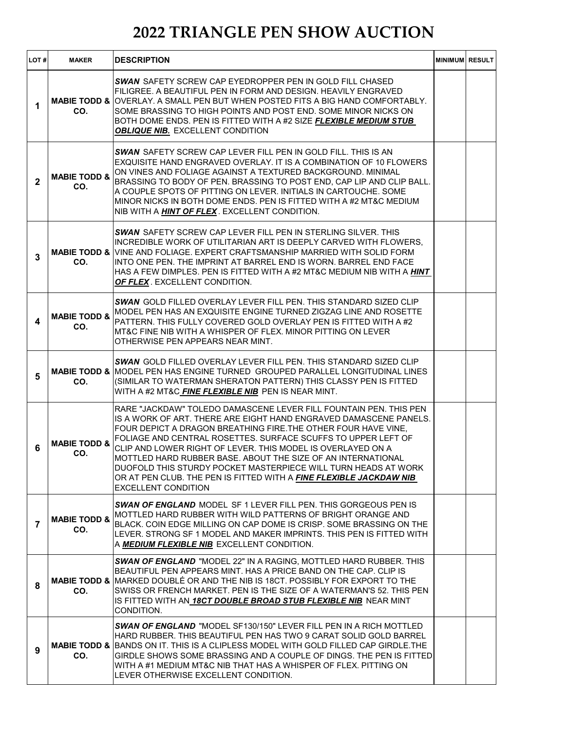| LOT#           | <b>MAKER</b>                   | <b>DESCRIPTION</b>                                                                                                                                                                                                                                                                                                                                                                                                                                                                                                                                                             | <b>MINIMUM RESULT</b> |  |
|----------------|--------------------------------|--------------------------------------------------------------------------------------------------------------------------------------------------------------------------------------------------------------------------------------------------------------------------------------------------------------------------------------------------------------------------------------------------------------------------------------------------------------------------------------------------------------------------------------------------------------------------------|-----------------------|--|
| 1              | CO.                            | <b>SWAN</b> SAFETY SCREW CAP EYEDROPPER PEN IN GOLD FILL CHASED<br>FILIGREE. A BEAUTIFUL PEN IN FORM AND DESIGN. HEAVILY ENGRAVED<br><b>MABIE TODD &amp; OVERLAY. A SMALL PEN BUT WHEN POSTED FITS A BIG HAND COMFORTABLY.</b><br>SOME BRASSING TO HIGH POINTS AND POST END. SOME MINOR NICKS ON<br>BOTH DOME ENDS. PEN IS FITTED WITH A #2 SIZE FLEXIBLE MEDIUM STUB<br><b>OBLIQUE NIB. EXCELLENT CONDITION</b>                                                                                                                                                               |                       |  |
| $\mathbf{2}$   | <b>MABIE TODD &amp;</b><br>CO. | <b>SWAN SAFETY SCREW CAP LEVER FILL PEN IN GOLD FILL. THIS IS AN</b><br>EXQUISITE HAND ENGRAVED OVERLAY. IT IS A COMBINATION OF 10 FLOWERS<br>ON VINES AND FOLIAGE AGAINST A TEXTURED BACKGROUND. MINIMAL<br>BRASSING TO BODY OF PEN. BRASSING TO POST END, CAP LIP AND CLIP BALL.<br>A COUPLE SPOTS OF PITTING ON LEVER. INITIALS IN CARTOUCHE. SOME<br>MINOR NICKS IN BOTH DOME ENDS. PEN IS FITTED WITH A #2 MT&C MEDIUM<br>NIB WITH A HINT OF FLEX. EXCELLENT CONDITION.                                                                                                   |                       |  |
| 3              | CO.                            | <b>SWAN</b> SAFETY SCREW CAP LEVER FILL PEN IN STERLING SILVER. THIS<br>INCREDIBLE WORK OF UTILITARIAN ART IS DEEPLY CARVED WITH FLOWERS.<br><b>MABIE TODD &amp; VINE AND FOLIAGE. EXPERT CRAFTSMANSHIP MARRIED WITH SOLID FORM</b><br>INTO ONE PEN. THE IMPRINT AT BARREL END IS WORN. BARREL END FACE<br>HAS A FEW DIMPLES. PEN IS FITTED WITH A #2 MT&C MEDIUM NIB WITH A HINT<br>OF FLEX. EXCELLENT CONDITION.                                                                                                                                                             |                       |  |
| 4              | <b>MABIE TODD &amp;</b><br>CO. | <b>SWAN GOLD FILLED OVERLAY LEVER FILL PEN. THIS STANDARD SIZED CLIP</b><br>MODEL PEN HAS AN EXQUISITE ENGINE TURNED ZIGZAG LINE AND ROSETTE<br>PATTERN. THIS FULLY COVERED GOLD OVERLAY PEN IS FITTED WITH A #2<br>MT&C FINE NIB WITH A WHISPER OF FLEX. MINOR PITTING ON LEVER<br>OTHERWISE PEN APPEARS NEAR MINT.                                                                                                                                                                                                                                                           |                       |  |
| 5              | CO.                            | <b>SWAN GOLD FILLED OVERLAY LEVER FILL PEN. THIS STANDARD SIZED CLIP</b><br><b>MABIE TODD &amp; MODEL PEN HAS ENGINE TURNED GROUPED PARALLEL LONGITUDINAL LINES</b><br>(SIMILAR TO WATERMAN SHERATON PATTERN) THIS CLASSY PEN IS FITTED<br>WITH A #2 MT&C FINE FLEXIBLE NIB PEN IS NEAR MINT.                                                                                                                                                                                                                                                                                  |                       |  |
| 6              | <b>MABIE TODD &amp;</b><br>CO. | RARE "JACKDAW" TOLEDO DAMASCENE LEVER FILL FOUNTAIN PEN. THIS PEN<br>IS A WORK OF ART. THERE ARE EIGHT HAND ENGRAVED DAMASCENE PANELS.<br>FOUR DEPICT A DRAGON BREATHING FIRE. THE OTHER FOUR HAVE VINE,<br>FOLIAGE AND CENTRAL ROSETTES. SURFACE SCUFFS TO UPPER LEFT OF<br>CLIP AND LOWER RIGHT OF LEVER. THIS MODEL IS OVERLAYED ON A<br>MOTTLED HARD RUBBER BASE. ABOUT THE SIZE OF AN INTERNATIONAL<br>DUOFOLD THIS STURDY POCKET MASTERPIECE WILL TURN HEADS AT WORK<br>OR AT PEN CLUB. THE PEN IS FITTED WITH A FINE FLEXIBLE JACKDAW NIB<br><b>EXCELLENT CONDITION</b> |                       |  |
| $\overline{7}$ | <b>MABIE TODD &amp;</b><br>CO. | <b>SWAN OF ENGLAND</b> MODEL SF 1 LEVER FILL PEN. THIS GORGEOUS PEN IS<br>MOTTLED HARD RUBBER WITH WILD PATTERNS OF BRIGHT ORANGE AND<br>BLACK. COIN EDGE MILLING ON CAP DOME IS CRISP. SOME BRASSING ON THE<br>LEVER. STRONG SF 1 MODEL AND MAKER IMPRINTS. THIS PEN IS FITTED WITH<br>A <b>MEDIUM FLEXIBLE NIB</b> EXCELLENT CONDITION.                                                                                                                                                                                                                                      |                       |  |
| 8              | CO.                            | SWAN OF ENGLAND "MODEL 22" IN A RAGING, MOTTLED HARD RUBBER. THIS<br>BEAUTIFUL PEN APPEARS MINT. HAS A PRICE BAND ON THE CAP. CLIP IS<br><b>MABIE TODD &amp; MARKED DOUBLÉ OR AND THE NIB IS 18CT. POSSIBLY FOR EXPORT TO THE</b><br>SWISS OR FRENCH MARKET. PEN IS THE SIZE OF A WATERMAN'S 52. THIS PEN<br>IS FITTED WITH AN 18CT DOUBLE BROAD STUB FLEXIBLE NIB NEAR MINT<br>CONDITION.                                                                                                                                                                                     |                       |  |
| 9              | CO.                            | <b>SWAN OF ENGLAND</b> "MODEL SF130/150" LEVER FILL PEN IN A RICH MOTTLED<br>HARD RUBBER. THIS BEAUTIFUL PEN HAS TWO 9 CARAT SOLID GOLD BARREL<br><b>MABIE TODD &amp; BANDS ON IT. THIS IS A CLIPLESS MODEL WITH GOLD FILLED CAP GIRDLE. THE</b><br>GIRDLE SHOWS SOME BRASSING AND A COUPLE OF DINGS. THE PEN IS FITTED<br>WITH A #1 MEDIUM MT&C NIB THAT HAS A WHISPER OF FLEX. PITTING ON<br>LEVER OTHERWISE EXCELLENT CONDITION.                                                                                                                                            |                       |  |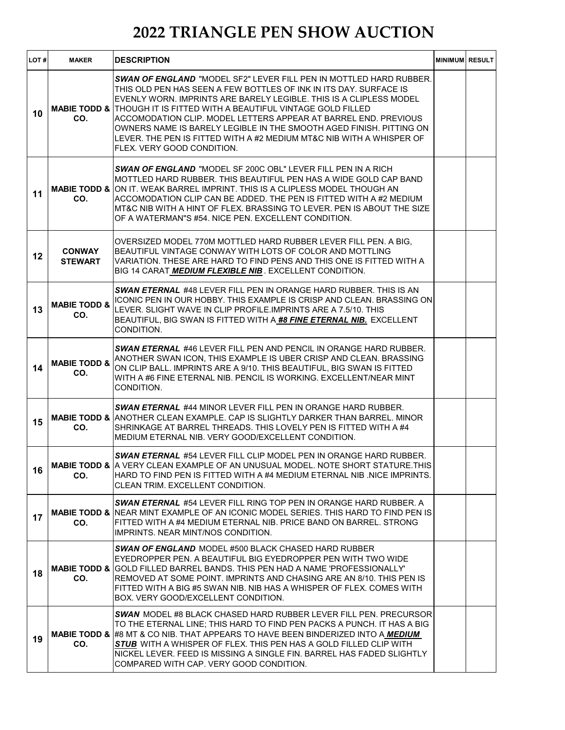| LOT# | <b>MAKER</b>                   | <b>DESCRIPTION</b>                                                                                                                                                                                                                                                                                                                                                                                                                                                                                                                                         | <b>MINIMUM RESULT</b> |  |
|------|--------------------------------|------------------------------------------------------------------------------------------------------------------------------------------------------------------------------------------------------------------------------------------------------------------------------------------------------------------------------------------------------------------------------------------------------------------------------------------------------------------------------------------------------------------------------------------------------------|-----------------------|--|
| 10   | CO.                            | <b>SWAN OF ENGLAND "</b> MODEL SE2" LEVER FILL PEN IN MOTTI ED HARD RUBBER.<br>THIS OLD PEN HAS SEEN A FEW BOTTLES OF INK IN ITS DAY. SURFACE IS<br>EVENLY WORN. IMPRINTS ARE BARELY LEGIBLE. THIS IS A CLIPLESS MODEL<br><b>MABIE TODD &amp; THOUGH IT IS FITTED WITH A BEAUTIFUL VINTAGE GOLD FILLED</b><br>ACCOMODATION CLIP. MODEL LETTERS APPEAR AT BARREL END. PREVIOUS<br>OWNERS NAME IS BARELY LEGIBLE IN THE SMOOTH AGED FINISH. PITTING ON<br>LEVER. THE PEN IS FITTED WITH A #2 MEDIUM MT&C NIB WITH A WHISPER OF<br>FLEX. VERY GOOD CONDITION. |                       |  |
| 11   | CO.                            | <b>SWAN OF ENGLAND "MODEL SF 200C OBL" LEVER FILL PEN IN A RICH</b><br>MOTTLED HARD RUBBER. THIS BEAUTIFUL PEN HAS A WIDE GOLD CAP BAND<br><b>MABIE TODD &amp; ON IT. WEAK BARREL IMPRINT. THIS IS A CLIPLESS MODEL THOUGH AN</b><br>ACCOMODATION CLIP CAN BE ADDED. THE PEN IS FITTED WITH A #2 MEDIUM<br>MT&C NIB WITH A HINT OF FLEX. BRASSING TO LEVER. PEN IS ABOUT THE SIZE<br>OF A WATERMAN"S #54. NICE PEN. EXCELLENT CONDITION.                                                                                                                   |                       |  |
| 12   | <b>CONWAY</b><br>STEWART       | OVERSIZED MODEL 770M MOTTLED HARD RUBBER LEVER FILL PEN. A BIG.<br>BEAUTIFUL VINTAGE CONWAY WITH LOTS OF COLOR AND MOTTLING<br>VARIATION. THESE ARE HARD TO FIND PENS AND THIS ONE IS FITTED WITH A<br>BIG 14 CARAT MEDIUM FLEXIBLE NIB. EXCELLENT CONDITION.                                                                                                                                                                                                                                                                                              |                       |  |
| 13   | <b>MABIE TODD &amp;</b><br>CO. | <b>SWAN ETERNAL</b> #48 LEVER FILL PEN IN ORANGE HARD RUBBER. THIS IS AN<br>ICONIC PEN IN OUR HOBBY. THIS EXAMPLE IS CRISP AND CLEAN. BRASSING ON<br>LEVER, SLIGHT WAVE IN CLIP PROFILE. IMPRINTS ARE A 7.5/10. THIS<br>BEAUTIFUL, BIG SWAN IS FITTED WITH A #8 FINE ETERNAL NIB. EXCELLENT<br>CONDITION.                                                                                                                                                                                                                                                  |                       |  |
| 14   | <b>MABIE TODD &amp;</b><br>CO. | <b>SWAN ETERNAL #46 LEVER FILL PEN AND PENCIL IN ORANGE HARD RUBBER.</b><br>ANOTHER SWAN ICON, THIS EXAMPLE IS UBER CRISP AND CLEAN. BRASSING<br>ON CLIP BALL. IMPRINTS ARE A 9/10. THIS BEAUTIFUL, BIG SWAN IS FITTED<br>WITH A #6 FINE ETERNAL NIB. PENCIL IS WORKING. EXCELLENT/NEAR MINT<br>CONDITION.                                                                                                                                                                                                                                                 |                       |  |
| 15   | CO.                            | <b>SWAN ETERNAL #44 MINOR LEVER FILL PEN IN ORANGE HARD RUBBER.</b><br><b>MABIE TODD &amp; ANOTHER CLEAN EXAMPLE. CAP IS SLIGHTLY DARKER THAN BARREL. MINOR</b><br>SHRINKAGE AT BARREL THREADS. THIS LOVELY PEN IS FITTED WITH A #4<br>MEDIUM ETERNAL NIB. VERY GOOD/EXCELLENT CONDITION.                                                                                                                                                                                                                                                                  |                       |  |
| 16   | CO.                            | <b>SWAN ETERNAL #54 LEVER FILL CLIP MODEL PEN IN ORANGE HARD RUBBER.</b><br><b>MABIE TODD &amp; A VERY CLEAN EXAMPLE OF AN UNUSUAL MODEL. NOTE SHORT STATURE THIS</b><br>HARD TO FIND PEN IS FITTED WITH A #4 MEDIUM ETERNAL NIB. NICE IMPRINTS.<br>CLEAN TRIM. EXCELLENT CONDITION.                                                                                                                                                                                                                                                                       |                       |  |
| 17   | CO.                            | <b>SWAN ETERNAL #54 LEVER FILL RING TOP PEN IN ORANGE HARD RUBBER. A</b><br><b>MABIE TODD &amp; INEAR MINT EXAMPLE OF AN ICONIC MODEL SERIES. THIS HARD TO FIND PEN IS</b><br>FITTED WITH A #4 MEDIUM ETERNAL NIB. PRICE BAND ON BARREL. STRONG<br><b>IMPRINTS, NEAR MINT/NOS CONDITION.</b>                                                                                                                                                                                                                                                               |                       |  |
| 18   | CO.                            | <b>SWAN OF ENGLAND</b> MODEL #500 BLACK CHASED HARD RUBBER<br>EYEDROPPER PEN. A BEAUTIFUL BIG EYEDROPPER PEN WITH TWO WIDE<br><b>MABIE TODD &amp; GOLD FILLED BARREL BANDS. THIS PEN HAD A NAME 'PROFESSIONALLY'</b><br>REMOVED AT SOME POINT. IMPRINTS AND CHASING ARE AN 8/10. THIS PEN IS<br>FITTED WITH A BIG #5 SWAN NIB. NIB HAS A WHISPER OF FLEX. COMES WITH<br>BOX. VERY GOOD/EXCELLENT CONDITION.                                                                                                                                                |                       |  |
| 19   | CO.                            | SWAN MODEL #8 BLACK CHASED HARD RUBBER LEVER FILL PEN. PRECURSOR<br>TO THE ETERNAL LINE; THIS HARD TO FIND PEN PACKS A PUNCH. IT HAS A BIG<br><b>MABIE TODD &amp; #8 MT &amp; CO NIB. THAT APPEARS TO HAVE BEEN BINDERIZED INTO A MEDIUM</b><br>STUB WITH A WHISPER OF FLEX. THIS PEN HAS A GOLD FILLED CLIP WITH<br>NICKEL LEVER. FEED IS MISSING A SINGLE FIN. BARREL HAS FADED SLIGHTLY<br>COMPARED WITH CAP. VERY GOOD CONDITION.                                                                                                                      |                       |  |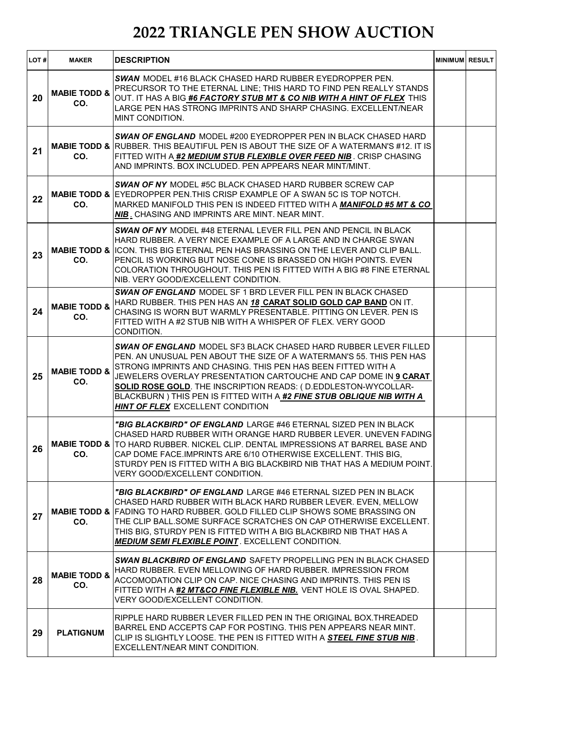| LOT# | <b>MAKER</b>                   | <b>DESCRIPTION</b>                                                                                                                                                                                                                                                                                                                                                                                                                                              | <b>MINIMUM RESULT</b> |  |
|------|--------------------------------|-----------------------------------------------------------------------------------------------------------------------------------------------------------------------------------------------------------------------------------------------------------------------------------------------------------------------------------------------------------------------------------------------------------------------------------------------------------------|-----------------------|--|
| 20   | <b>MABIE TODD &amp;</b><br>CO. | <b>SWAN MODEL #16 BLACK CHASED HARD RUBBER EYEDROPPER PEN.</b><br>PRECURSOR TO THE ETERNAL LINE; THIS HARD TO FIND PEN REALLY STANDS<br>OUT. IT HAS A BIG #6 FACTORY STUB MT & CO NIB WITH A HINT OF FLEX THIS<br>LARGE PEN HAS STRONG IMPRINTS AND SHARP CHASING. EXCELLENT/NEAR<br>MINT CONDITION.                                                                                                                                                            |                       |  |
| 21   | CO.                            | <b>SWAN OF ENGLAND</b> MODEL #200 EYEDROPPER PEN IN BLACK CHASED HARD<br><b>MABIE TODD &amp; RUBBER. THIS BEAUTIFUL PEN IS ABOUT THE SIZE OF A WATERMAN'S #12. IT IS</b><br>FITTED WITH A <b>#2 <i>MEDIUM STUB FLEXIBLE OVER FEED NIB</i> .</b> CRISP CHASING<br>AND IMPRINTS, BOX INCLUDED, PEN APPEARS NEAR MINT/MINT.                                                                                                                                        |                       |  |
| 22   | CO.                            | <b>SWAN OF NY MODEL #5C BLACK CHASED HARD RUBBER SCREW CAP</b><br><b>MABIE TODD &amp; EYEDROPPER PEN. THIS CRISP EXAMPLE OF A SWAN 5C IS TOP NOTCH.</b><br>MARKED MANIFOLD THIS PEN IS INDEED FITTED WITH A <i>MANIFOLD #5 MT &amp; CO</i><br><b>NIB</b> . CHASING AND IMPRINTS ARE MINT. NEAR MINT.                                                                                                                                                            |                       |  |
| 23   | CO.                            | <b>SWAN OF NY MODEL #48 ETERNAL LEVER FILL PEN AND PENCIL IN BLACK</b><br>HARD RUBBER. A VERY NICE EXAMPLE OF A LARGE AND IN CHARGE SWAN<br><b>MABIE TODD &amp; ICON. THIS BIG ETERNAL PEN HAS BRASSING ON THE LEVER AND CLIP BALL.</b><br>PENCIL IS WORKING BUT NOSE CONE IS BRASSED ON HIGH POINTS. EVEN<br>COLORATION THROUGHOUT. THIS PEN IS FITTED WITH A BIG #8 FINE ETERNAL<br>NIB. VERY GOOD/EXCELLENT CONDITION.                                       |                       |  |
| 24   | <b>MABIE TODD &amp;</b><br>CO. | SWAN OF ENGLAND MODEL SF 1 BRD LEVER FILL PEN IN BLACK CHASED<br>HARD RUBBER. THIS PEN HAS AN 18 CARAT SOLID GOLD CAP BAND ON IT.<br>CHASING IS WORN BUT WARMLY PRESENTABLE. PITTING ON LEVER, PEN IS<br>FITTED WITH A #2 STUB NIB WITH A WHISPER OF FLEX. VERY GOOD<br>CONDITION.                                                                                                                                                                              |                       |  |
| 25   | <b>MABIE TODD &amp;</b><br>CO. | <b>SWAN OF ENGLAND</b> MODEL SF3 BLACK CHASED HARD RUBBER LEVER FILLED<br>PEN. AN UNUSUAL PEN ABOUT THE SIZE OF A WATERMAN'S 55. THIS PEN HAS<br>STRONG IMPRINTS AND CHASING. THIS PEN HAS BEEN FITTED WITH A<br>JEWELERS OVERLAY PRESENTATION CARTOUCHE AND CAP DOME IN 9 CARAT<br>SOLID ROSE GOLD. THE INSCRIPTION READS: (D.EDDLESTON-WYCOLLAR-<br>BLACKBURN ) THIS PEN IS FITTED WITH A #2 FINE STUB OBLIQUE NIB WITH A<br>HINT OF FLEX EXCELLENT CONDITION |                       |  |
| 26   | CO.                            | <i>"BIG BLACKBIRD" OF ENGLAND</i> LARGE #46 ETERNAL SIZED PEN IN BLACK.<br>CHASED HARD RUBBER WITH ORANGE HARD RUBBER LEVER. UNEVEN FADING<br><b>MABIE TODD &amp; TO HARD RUBBER. NICKEL CLIP. DENTAL IMPRESSIONS AT BARREL BASE AND</b><br>CAP DOME FACE.IMPRINTS ARE 6/10 OTHERWISE EXCELLENT. THIS BIG,<br>STURDY PEN IS FITTED WITH A BIG BLACKBIRD NIB THAT HAS A MEDIUM POINT.<br>VERY GOOD/EXCELLENT CONDITION.                                          |                       |  |
| 27   | CO.                            | "BIG BLACKBIRD" OF ENGLAND LARGE #46 ETERNAL SIZED PEN IN BLACK<br>CHASED HARD RUBBER WITH BLACK HARD RUBBER LEVER. EVEN, MELLOW<br><b>MABIE TODD &amp; FADING TO HARD RUBBER. GOLD FILLED CLIP SHOWS SOME BRASSING ON</b><br>THE CLIP BALL.SOME SURFACE SCRATCHES ON CAP OTHERWISE EXCELLENT.<br>THIS BIG, STURDY PEN IS FITTED WITH A BIG BLACKBIRD NIB THAT HAS A<br><b>MEDIUM SEMI FLEXIBLE POINT</b> . EXCELLENT CONDITION.                                |                       |  |
| 28   | <b>MABIE TODD &amp;</b><br>CO. | <b>SWAN BLACKBIRD OF ENGLAND</b> SAFETY PROPELLING PEN IN BLACK CHASED<br>HARD RUBBER. EVEN MELLOWING OF HARD RUBBER. IMPRESSION FROM<br>ACCOMODATION CLIP ON CAP. NICE CHASING AND IMPRINTS. THIS PEN IS<br>FITTED WITH A #2 MT&CO FINE FLEXIBLE NIB. VENT HOLE IS OVAL SHAPED.<br>VERY GOOD/EXCELLENT CONDITION.                                                                                                                                              |                       |  |
| 29   | <b>PLATIGNUM</b>               | RIPPLE HARD RUBBER LEVER FILLED PEN IN THE ORIGINAL BOX.THREADED<br>BARREL END ACCEPTS CAP FOR POSTING. THIS PEN APPEARS NEAR MINT.<br>CLIP IS SLIGHTLY LOOSE. THE PEN IS FITTED WITH A STEEL FINE STUB NIB.<br>EXCELLENT/NEAR MINT CONDITION.                                                                                                                                                                                                                  |                       |  |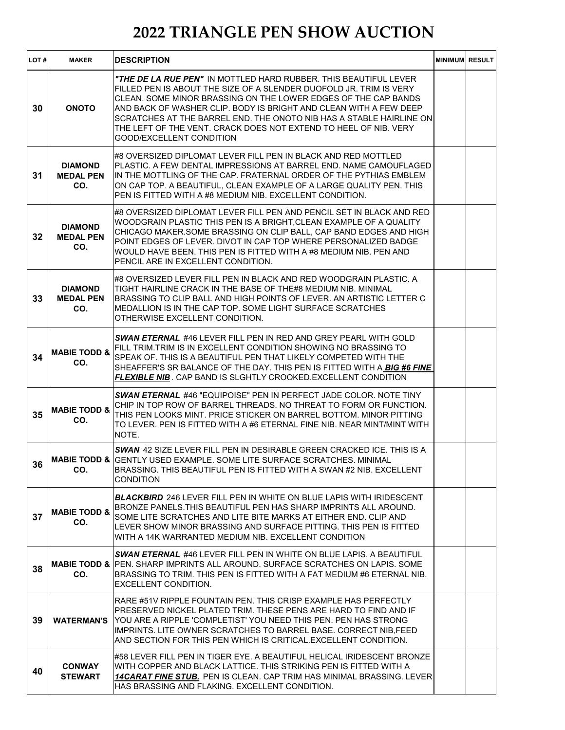| LOT#            | <b>MAKER</b>                              | <b>DESCRIPTION</b>                                                                                                                                                                                                                                                                                                                                                                                                                                                 | <b>MINIMUM RESULT</b> |  |
|-----------------|-------------------------------------------|--------------------------------------------------------------------------------------------------------------------------------------------------------------------------------------------------------------------------------------------------------------------------------------------------------------------------------------------------------------------------------------------------------------------------------------------------------------------|-----------------------|--|
| 30              | <b>ONOTO</b>                              | <i>"THE DE LA RUE PEN"</i> IN MOTTLED HARD RUBBER. THIS BEAUTIFUL LEVER<br>FILLED PEN IS ABOUT THE SIZE OF A SLENDER DUOFOLD JR. TRIM IS VERY<br>CLEAN. SOME MINOR BRASSING ON THE LOWER EDGES OF THE CAP BANDS<br>AND BACK OF WASHER CLIP. BODY IS BRIGHT AND CLEAN WITH A FEW DEEP<br>SCRATCHES AT THE BARREL END. THE ONOTO NIB HAS A STABLE HAIRLINE ON<br>THE LEFT OF THE VENT. CRACK DOES NOT EXTEND TO HEEL OF NIB. VERY<br><b>GOOD/EXCELLENT CONDITION</b> |                       |  |
| 31              | <b>DIAMOND</b><br><b>MEDAL PEN</b><br>CO. | #8 OVERSIZED DIPLOMAT LEVER FILL PEN IN BLACK AND RED MOTTLED<br>PLASTIC. A FEW DENTAL IMPRESSIONS AT BARREL END. NAME CAMOUFLAGED<br>IN THE MOTTLING OF THE CAP. FRATERNAL ORDER OF THE PYTHIAS EMBLEM<br>ON CAP TOP. A BEAUTIFUL, CLEAN EXAMPLE OF A LARGE QUALITY PEN. THIS<br>PEN IS FITTED WITH A #8 MEDIUM NIB. EXCELLENT CONDITION.                                                                                                                         |                       |  |
| 32 <sub>2</sub> | <b>DIAMOND</b><br><b>MEDAL PEN</b><br>CO. | #8 OVERSIZED DIPLOMAT LEVER FILL PEN AND PENCIL SET IN BLACK AND RED<br>WOODGRAIN PLASTIC THIS PEN IS A BRIGHT, CLEAN EXAMPLE OF A QUALITY<br>CHICAGO MAKER.SOME BRASSING ON CLIP BALL, CAP BAND EDGES AND HIGH<br>POINT EDGES OF LEVER. DIVOT IN CAP TOP WHERE PERSONALIZED BADGE<br>WOULD HAVE BEEN. THIS PEN IS FITTED WITH A #8 MEDIUM NIB. PEN AND<br>PENCIL ARE IN EXCELLENT CONDITION.                                                                      |                       |  |
| 33              | <b>DIAMOND</b><br><b>MEDAL PEN</b><br>CO. | #8 OVERSIZED LEVER FILL PEN IN BLACK AND RED WOODGRAIN PLASTIC. A<br>TIGHT HAIRLINE CRACK IN THE BASE OF THE#8 MEDIUM NIB. MINIMAL<br>BRASSING TO CLIP BALL AND HIGH POINTS OF LEVER. AN ARTISTIC LETTER C<br>MEDALLION IS IN THE CAP TOP. SOME LIGHT SURFACE SCRATCHES<br>OTHERWISE EXCELLENT CONDITION.                                                                                                                                                          |                       |  |
| 34              | <b>MABIE TODD &amp;</b><br>CO.            | <b>SWAN ETERNAL #46 LEVER FILL PEN IN RED AND GREY PEARL WITH GOLD</b><br>FILL TRIM.TRIM IS IN EXCELLENT CONDITION SHOWING NO BRASSING TO<br>SPEAK OF. THIS IS A BEAUTIFUL PEN THAT LIKELY COMPETED WITH THE<br>SHEAFFER'S SR BALANCE OF THE DAY. THIS PEN IS FITTED WITH A BIG #6 FINE<br>FLEXIBLE NIB. CAP BAND IS SLGHTLY CROOKED.EXCELLENT CONDITION                                                                                                           |                       |  |
| 35              | <b>MABIE TODD &amp;</b><br>CO.            | SWAN ETERNAL #46 "EQUIPOISE" PEN IN PERFECT JADE COLOR. NOTE TINY<br>CHIP IN TOP ROW OF BARREL THREADS. NO THREAT TO FORM OR FUNCTION.<br>THIS PEN LOOKS MINT. PRICE STICKER ON BARREL BOTTOM, MINOR PITTING<br>TO LEVER. PEN IS FITTED WITH A #6 ETERNAL FINE NIB. NEAR MINT/MINT WITH<br>NOTE.                                                                                                                                                                   |                       |  |
| 36              | CO.                                       | SWAN 42 SIZE LEVER FILL PEN IN DESIRABLE GREEN CRACKED ICE. THIS IS A<br><b>MABIE TODD &amp; GENTLY USED EXAMPLE. SOME LITE SURFACE SCRATCHES. MINIMAL</b><br>BRASSING. THIS BEAUTIFUL PEN IS FITTED WITH A SWAN #2 NIB. EXCELLENT<br>CONDITION                                                                                                                                                                                                                    |                       |  |
| 37              | <b>MABIE TODD &amp;</b><br>CO.            | <b>BLACKBIRD</b> 246 LEVER FILL PEN IN WHITE ON BLUE LAPIS WITH IRIDESCENT<br>BRONZE PANELS. THIS BEAUTIFUL PEN HAS SHARP IMPRINTS ALL AROUND.<br>SOME LITE SCRATCHES AND LITE BITE MARKS AT EITHER END. CLIP AND<br>LEVER SHOW MINOR BRASSING AND SURFACE PITTING. THIS PEN IS FITTED<br>WITH A 14K WARRANTED MEDIUM NIB. EXCELLENT CONDITION                                                                                                                     |                       |  |
| 38              | CO.                                       | <b>SWAN ETERNAL #46 LEVER FILL PEN IN WHITE ON BLUE LAPIS. A BEAUTIFUL</b><br><b>MABIE TODD &amp; PEN. SHARP IMPRINTS ALL AROUND. SURFACE SCRATCHES ON LAPIS. SOME</b><br>BRASSING TO TRIM. THIS PEN IS FITTED WITH A FAT MEDIUM #6 ETERNAL NIB.<br>EXCELLENT CONDITION.                                                                                                                                                                                           |                       |  |
| 39              | <b>WATERMAN'S</b>                         | RARE #51V RIPPLE FOUNTAIN PEN. THIS CRISP EXAMPLE HAS PERFECTLY<br>PRESERVED NICKEL PLATED TRIM. THESE PENS ARE HARD TO FIND AND IF<br>YOU ARE A RIPPLE 'COMPLETIST' YOU NEED THIS PEN. PEN HAS STRONG<br>IMPRINTS. LITE OWNER SCRATCHES TO BARREL BASE. CORRECT NIB, FEED<br>AND SECTION FOR THIS PEN WHICH IS CRITICAL EXCELLENT CONDITION.                                                                                                                      |                       |  |
| 40              | <b>CONWAY</b><br><b>STEWART</b>           | #58 LEVER FILL PEN IN TIGER EYE. A BEAUTIFUL HELICAL IRIDESCENT BRONZE<br>WITH COPPER AND BLACK LATTICE. THIS STRIKING PEN IS FITTED WITH A<br><b>14CARAT FINE STUB.</b> PEN IS CLEAN. CAP TRIM HAS MINIMAL BRASSING. LEVER<br>HAS BRASSING AND FLAKING. EXCELLENT CONDITION.                                                                                                                                                                                      |                       |  |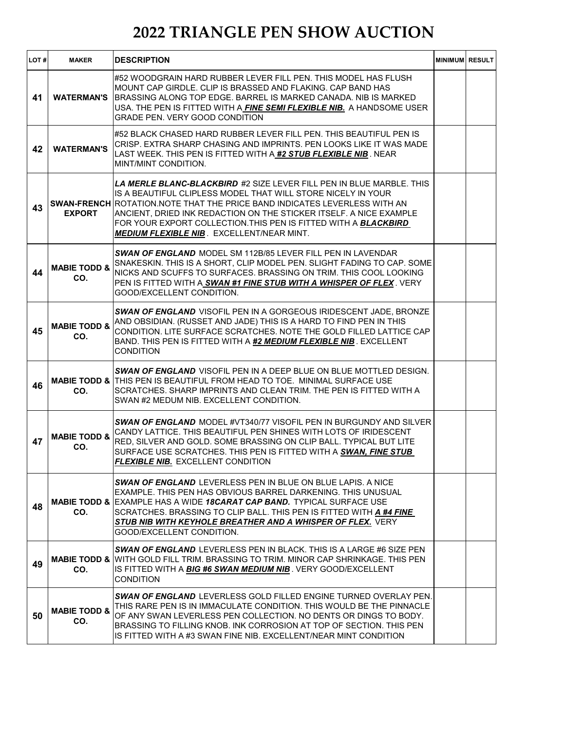| LOT# | <b>MAKER</b>                   | <b>DESCRIPTION</b>                                                                                                                                                                                                                                                                                                                                                                                                    | <b>MINIMUM RESULT</b> |  |
|------|--------------------------------|-----------------------------------------------------------------------------------------------------------------------------------------------------------------------------------------------------------------------------------------------------------------------------------------------------------------------------------------------------------------------------------------------------------------------|-----------------------|--|
| 41   | <b>WATERMAN'S</b>              | #52 WOODGRAIN HARD RUBBER LEVER FILL PEN. THIS MODEL HAS FLUSH<br>MOUNT CAP GIRDLE, CLIP IS BRASSED AND FLAKING, CAP BAND HAS<br>BRASSING ALONG TOP EDGE. BARREL IS MARKED CANADA. NIB IS MARKED<br>USA. THE PEN IS FITTED WITH A FINE SEMI FLEXIBLE NIB. A HANDSOME USER<br><b>GRADE PEN. VERY GOOD CONDITION</b>                                                                                                    |                       |  |
| 42   | <b>WATERMAN'S</b>              | #52 BLACK CHASED HARD RUBBER LEVER FILL PEN. THIS BEAUTIFUL PEN IS<br>CRISP. EXTRA SHARP CHASING AND IMPRINTS. PEN LOOKS LIKE IT WAS MADE<br>LAST WEEK. THIS PEN IS FITTED WITH A <b>#2 S<i>TUB FLEXIBLE NIB</i></b> . NEAR<br>MINT/MINT CONDITION.                                                                                                                                                                   |                       |  |
| 43   | <b>EXPORT</b>                  | <i>LA MERLE BLANC-BLACKBIRD #2</i> SIZE LEVER FILL PEN IN BLUE MARBLE. THIS<br>IS A BEAUTIFUL CLIPLESS MODEL THAT WILL STORE NICELY IN YOUR<br>SWAN-FRENCH ROTATION. NOTE THAT THE PRICE BAND INDICATES LEVERLESS WITH AN<br>ANCIENT, DRIED INK REDACTION ON THE STICKER ITSELF. A NICE EXAMPLE<br>FOR YOUR EXPORT COLLECTION.THIS PEN IS FITTED WITH A BLACKBIRD<br><b>MEDIUM FLEXIBLE NIB. EXCELLENT/NEAR MINT.</b> |                       |  |
| 44   | <b>MABIE TODD &amp;</b><br>CO. | SWAN OF ENGLAND MODEL SM 112B/85 LEVER FILL PEN IN LAVENDAR<br>SNAKESKIN. THIS IS A SHORT, CLIP MODEL PEN. SLIGHT FADING TO CAP. SOME<br>NICKS AND SCUFFS TO SURFACES. BRASSING ON TRIM. THIS COOL LOOKING<br>PEN IS FITTED WITH A SWAN #1 FINE STUB WITH A WHISPER OF FLEX. VERY<br>GOOD/EXCELLENT CONDITION.                                                                                                        |                       |  |
| 45   | <b>MABIE TODD &amp;</b><br>CO. | <b>SWAN OF ENGLAND VISOFIL PEN IN A GORGEOUS IRIDESCENT JADE, BRONZE</b><br>AND OBSIDIAN. (RUSSET AND JADE) THIS IS A HARD TO FIND PEN IN THIS<br>CONDITION. LITE SURFACE SCRATCHES. NOTE THE GOLD FILLED LATTICE CAP<br>BAND. THIS PEN IS FITTED WITH A <u>#2 <b>MEDIUM FLEXIBLE NIB</b> .</u> EXCELLENT<br><b>CONDITION</b>                                                                                         |                       |  |
| 46   | CO.                            | SWAN OF ENGLAND VISOFIL PEN IN A DEEP BLUE ON BLUE MOTTLED DESIGN.<br><b>MABIE TODD &amp; THIS PEN IS BEAUTIFUL FROM HEAD TO TOE. MINIMAL SURFACE USE</b><br>SCRATCHES. SHARP IMPRINTS AND CLEAN TRIM. THE PEN IS FITTED WITH A<br>SWAN #2 MEDUM NIB. EXCELLENT CONDITION.                                                                                                                                            |                       |  |
| 47   | <b>MABIE TODD &amp;</b><br>CO. | <b>SWAN OF ENGLAND MODEL #VT340/77 VISOFIL PEN IN BURGUNDY AND SILVER</b><br>CANDY LATTICE. THIS BEAUTIFUL PEN SHINES WITH LOTS OF IRIDESCENT<br>RED, SILVER AND GOLD. SOME BRASSING ON CLIP BALL. TYPICAL BUT LITE<br>SURFACE USE SCRATCHES. THIS PEN IS FITTED WITH A SWAN, FINE STUB<br><b>FLEXIBLE NIB.</b> EXCELLENT CONDITION                                                                                   |                       |  |
| 48   | CO.                            | SWAN OF ENGLAND LEVERLESS PEN IN BLUE ON BLUE LAPIS. A NICE<br>EXAMPLE. THIS PEN HAS OBVIOUS BARREL DARKENING. THIS UNUSUAL<br><b>MABIE TODD &amp; EXAMPLE HAS A WIDE 18CARAT CAP BAND. TYPICAL SURFACE USE</b><br>SCRATCHES. BRASSING TO CLIP BALL. THIS PEN IS FITTED WITH A #4 FINE<br>STUB NIB WITH KEYHOLE BREATHER AND A WHISPER OF FLEX. VERY<br>GOOD/EXCELLENT CONDITION.                                     |                       |  |
| 49   | CO.                            | <b>SWAN OF ENGLAND</b> LEVERLESS PEN IN BLACK. THIS IS A LARGE #6 SIZE PEN<br><b>MABIE TODD &amp; I</b> WITH GOLD FILL TRIM. BRASSING TO TRIM. MINOR CAP SHRINKAGE. THIS PEN<br>IS FITTED WITH A <b>BIG #6 SWAN MEDIUM NIB</b> . VERY GOOD/EXCELLENT<br><b>CONDITION</b>                                                                                                                                              |                       |  |
| 50   | <b>MABIE TODD &amp;</b><br>CO. | <b>SWAN OF ENGLAND</b> LEVERLESS GOLD FILLED ENGINE TURNED OVERLAY PEN.<br>THIS RARE PEN IS IN IMMACULATE CONDITION. THIS WOULD BE THE PINNACLE<br>OF ANY SWAN LEVERLESS PEN COLLECTION. NO DENTS OR DINGS TO BODY.<br>BRASSING TO FILLING KNOB. INK CORROSION AT TOP OF SECTION. THIS PEN<br>IS FITTED WITH A #3 SWAN FINE NIB. EXCELLENT/NEAR MINT CONDITION                                                        |                       |  |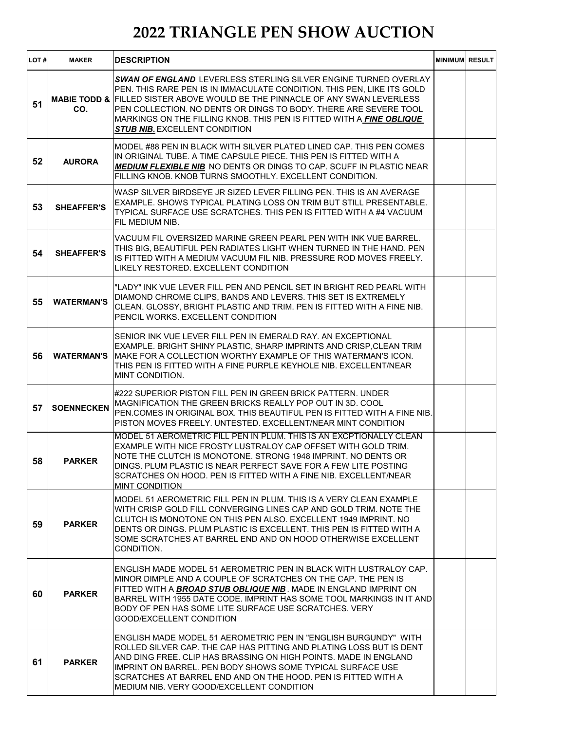| LOT# | <b>MAKER</b>      | <b>DESCRIPTION</b>                                                                                                                                                                                                                                                                                                                                                                                                              | <b>MINIMUM RESULT</b> |  |
|------|-------------------|---------------------------------------------------------------------------------------------------------------------------------------------------------------------------------------------------------------------------------------------------------------------------------------------------------------------------------------------------------------------------------------------------------------------------------|-----------------------|--|
| 51   | CO.               | <b>SWAN OF ENGLAND</b> LEVERLESS STERLING SILVER ENGINE TURNED OVERLAY<br>PEN. THIS RARE PEN IS IN IMMACULATE CONDITION. THIS PEN, LIKE ITS GOLD<br><b>MABIE TODD &amp; FILLED SISTER ABOVE WOULD BE THE PINNACLE OF ANY SWAN LEVERLESS</b><br>PEN COLLECTION. NO DENTS OR DINGS TO BODY. THERE ARE SEVERE TOOL<br>MARKINGS ON THE FILLING KNOB. THIS PEN IS FITTED WITH A FINE OBLIQUE<br><b>STUB NIB. EXCELLENT CONDITION</b> |                       |  |
| 52   | <b>AURORA</b>     | MODEL #88 PEN IN BLACK WITH SILVER PLATED LINED CAP. THIS PEN COMES<br>IN ORIGINAL TUBE. A TIME CAPSULE PIECE. THIS PEN IS FITTED WITH A<br><b>MEDIUM FLEXIBLE NIB NO DENTS OR DINGS TO CAP. SCUFF IN PLASTIC NEAR</b><br>FILLING KNOB. KNOB TURNS SMOOTHLY. EXCELLENT CONDITION.                                                                                                                                               |                       |  |
| 53   | <b>SHEAFFER'S</b> | WASP SILVER BIRDSEYE JR SIZED LEVER FILLING PEN. THIS IS AN AVERAGE<br>EXAMPLE. SHOWS TYPICAL PLATING LOSS ON TRIM BUT STILL PRESENTABLE.<br>TYPICAL SURFACE USE SCRATCHES. THIS PEN IS FITTED WITH A #4 VACUUM<br>FIL MEDIUM NIB.                                                                                                                                                                                              |                       |  |
| 54   | <b>SHEAFFER'S</b> | VACUUM FIL OVERSIZED MARINE GREEN PEARL PEN WITH INK VUE BARREL.<br>THIS BIG, BEAUTIFUL PEN RADIATES LIGHT WHEN TURNED IN THE HAND. PEN<br>IS FITTED WITH A MEDIUM VACUUM FIL NIB. PRESSURE ROD MOVES FREELY.<br>LIKELY RESTORED. EXCELLENT CONDITION                                                                                                                                                                           |                       |  |
| 55   | <b>WATERMAN'S</b> | "LADY" INK VUE LEVER FILL PEN AND PENCIL SET IN BRIGHT RED PEARL WITH<br>DIAMOND CHROME CLIPS, BANDS AND LEVERS. THIS SET IS EXTREMELY<br>CLEAN. GLOSSY, BRIGHT PLASTIC AND TRIM. PEN IS FITTED WITH A FINE NIB.<br>PENCIL WORKS, EXCELLENT CONDITION                                                                                                                                                                           |                       |  |
| 56   | <b>WATERMAN'S</b> | SENIOR INK VUE LEVER FILL PEN IN EMERALD RAY. AN EXCEPTIONAL<br>EXAMPLE. BRIGHT SHINY PLASTIC, SHARP IMPRINTS AND CRISP, CLEAN TRIM<br>IMAKE FOR A COLLECTION WORTHY EXAMPLE OF THIS WATERMAN'S ICON.<br>THIS PEN IS FITTED WITH A FINE PURPLE KEYHOLE NIB. EXCELLENT/NEAR<br>MINT CONDITION.                                                                                                                                   |                       |  |
| 57   | <b>SOENNECKEN</b> | #222 SUPERIOR PISTON FILL PEN IN GREEN BRICK PATTERN. UNDER<br>MAGNIFICATION THE GREEN BRICKS REALLY POP OUT IN 3D. COOL<br>PEN.COMES IN ORIGINAL BOX. THIS BEAUTIFUL PEN IS FITTED WITH A FINE NIB.<br>PISTON MOVES FREELY. UNTESTED. EXCELLENT/NEAR MINT CONDITION                                                                                                                                                            |                       |  |
| 58   | <b>PARKER</b>     | MODEL 51 AEROMETRIC FILL PEN IN PLUM. THIS IS AN EXCPTIONALLY CLEAN<br>EXAMPLE WITH NICE FROSTY LUSTRALOY CAP OFFSET WITH GOLD TRIM.<br>NOTE THE CLUTCH IS MONOTONE. STRONG 1948 IMPRINT. NO DENTS OR<br>DINGS. PLUM PLASTIC IS NEAR PERFECT SAVE FOR A FEW LITE POSTING<br>SCRATCHES ON HOOD. PEN IS FITTED WITH A FINE NIB. EXCELLENT/NEAR<br><b>MINT CONDITION</b>                                                           |                       |  |
| 59   | <b>PARKER</b>     | MODEL 51 AEROMETRIC FILL PEN IN PLUM. THIS IS A VERY CLEAN EXAMPLE<br>WITH CRISP GOLD FILL CONVERGING LINES CAP AND GOLD TRIM. NOTE THE<br>CLUTCH IS MONOTONE ON THIS PEN ALSO. EXCELLENT 1949 IMPRINT. NO<br>DENTS OR DINGS. PLUM PLASTIC IS EXCELLENT. THIS PEN IS FITTED WITH A<br>SOME SCRATCHES AT BARREL END AND ON HOOD OTHERWISE EXCELLENT<br>CONDITION.                                                                |                       |  |
| 60   | <b>PARKER</b>     | ENGLISH MADE MODEL 51 AEROMETRIC PEN IN BLACK WITH LUSTRALOY CAP.<br>MINOR DIMPLE AND A COUPLE OF SCRATCHES ON THE CAP. THE PEN IS<br>FITTED WITH A <b><i>BROAD STUB OBLIQUE NIB</i></b> . MADE IN ENGLAND IMPRINT ON<br>BARREL WITH 1955 DATE CODE. IMPRINT HAS SOME TOOL MARKINGS IN IT AND I<br>BODY OF PEN HAS SOME LITE SURFACE USE SCRATCHES. VERY<br>GOOD/EXCELLENT CONDITION                                            |                       |  |
| 61   | <b>PARKER</b>     | ENGLISH MADE MODEL 51 AEROMETRIC PEN IN "ENGLISH BURGUNDY"  WITH<br>ROLLED SILVER CAP. THE CAP HAS PITTING AND PLATING LOSS BUT IS DENT<br>AND DING FREE. CLIP HAS BRASSING ON HIGH POINTS. MADE IN ENGLAND<br>IMPRINT ON BARREL. PEN BODY SHOWS SOME TYPICAL SURFACE USE<br>SCRATCHES AT BARREL END AND ON THE HOOD. PEN IS FITTED WITH A<br>MEDIUM NIB. VERY GOOD/EXCELLENT CONDITION                                         |                       |  |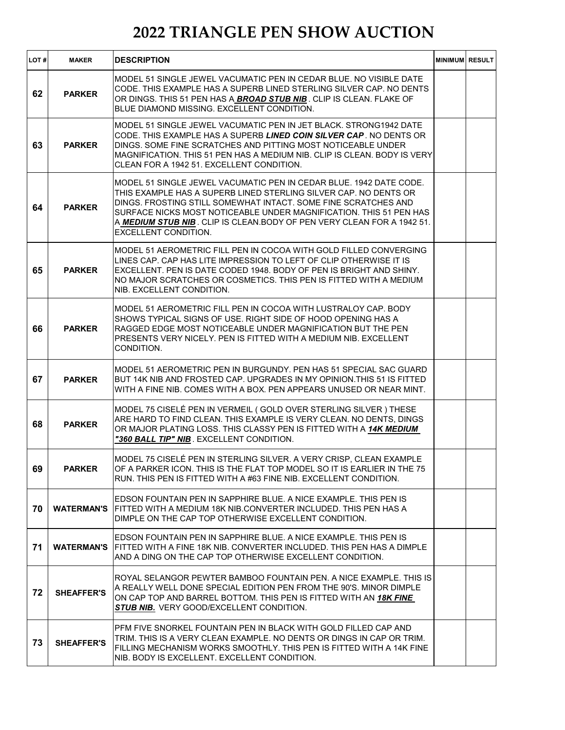| LOT# | <b>MAKER</b>      | <b>DESCRIPTION</b>                                                                                                                                                                                                                                                                                                                                                                       | MINIMUM RESULT |  |
|------|-------------------|------------------------------------------------------------------------------------------------------------------------------------------------------------------------------------------------------------------------------------------------------------------------------------------------------------------------------------------------------------------------------------------|----------------|--|
| 62   | <b>PARKER</b>     | MODEL 51 SINGLE JEWEL VACUMATIC PEN IN CEDAR BLUE. NO VISIBLE DATE<br>CODE. THIS EXAMPLE HAS A SUPERB LINED STERLING SILVER CAP. NO DENTS<br>OR DINGS. THIS 51 PEN HAS A BROAD STUB NIB. CLIP IS CLEAN. FLAKE OF<br>BLUE DIAMOND MISSING. EXCELLENT CONDITION.                                                                                                                           |                |  |
| 63   | <b>PARKER</b>     | MODEL 51 SINGLE JEWEL VACUMATIC PEN IN JET BLACK, STRONG1942 DATE<br>CODE. THIS EXAMPLE HAS A SUPERB LINED COIN SILVER CAP. NO DENTS OR<br>DINGS. SOME FINE SCRATCHES AND PITTING MOST NOTICEABLE UNDER<br>MAGNIFICATION. THIS 51 PEN HAS A MEDIUM NIB. CLIP IS CLEAN. BODY IS VERY<br>CLEAN FOR A 1942 51. EXCELLENT CONDITION.                                                         |                |  |
| 64   | <b>PARKER</b>     | MODEL 51 SINGLE JEWEL VACUMATIC PEN IN CEDAR BLUE. 1942 DATE CODE.<br>THIS EXAMPLE HAS A SUPERB LINED STERLING SILVER CAP. NO DENTS OR<br>DINGS. FROSTING STILL SOMEWHAT INTACT. SOME FINE SCRATCHES AND<br>SURFACE NICKS MOST NOTICEABLE UNDER MAGNIFICATION. THIS 51 PEN HAS<br>A MEDIUM STUB NIB. CLIP IS CLEAN. BODY OF PEN VERY CLEAN FOR A 1942 51.<br><b>EXCELLENT CONDITION.</b> |                |  |
| 65   | <b>PARKER</b>     | MODEL 51 AEROMETRIC FILL PEN IN COCOA WITH GOLD FILLED CONVERGING<br>LINES CAP. CAP HAS LITE IMPRESSION TO LEFT OF CLIP OTHERWISE IT IS<br>EXCELLENT. PEN IS DATE CODED 1948. BODY OF PEN IS BRIGHT AND SHINY.<br>NO MAJOR SCRATCHES OR COSMETICS. THIS PEN IS FITTED WITH A MEDIUM<br>NIB. EXCELLENT CONDITION.                                                                         |                |  |
| 66   | <b>PARKER</b>     | MODEL 51 AEROMETRIC FILL PEN IN COCOA WITH LUSTRALOY CAP. BODY<br>SHOWS TYPICAL SIGNS OF USE. RIGHT SIDE OF HOOD OPENING HAS A<br>RAGGED EDGE MOST NOTICEABLE UNDER MAGNIFICATION BUT THE PEN<br>PRESENTS VERY NICELY. PEN IS FITTED WITH A MEDIUM NIB. EXCELLENT<br>CONDITION.                                                                                                          |                |  |
| 67   | <b>PARKER</b>     | MODEL 51 AEROMETRIC PEN IN BURGUNDY. PEN HAS 51 SPECIAL SAC GUARD<br>BUT 14K NIB AND FROSTED CAP. UPGRADES IN MY OPINION. THIS 51 IS FITTED<br>WITH A FINE NIB. COMES WITH A BOX. PEN APPEARS UNUSED OR NEAR MINT.                                                                                                                                                                       |                |  |
| 68   | <b>PARKER</b>     | MODEL 75 CISELÉ PEN IN VERMEIL ( GOLD OVER STERLING SILVER ) THESE<br>ARE HARD TO FIND CLEAN. THIS EXAMPLE IS VERY CLEAN. NO DENTS, DINGS<br>OR MAJOR PLATING LOSS. THIS CLASSY PEN IS FITTED WITH A 14K MEDIUM<br>"360 BALL TIP" NIB. EXCELLENT CONDITION.                                                                                                                              |                |  |
| 69   | <b>PARKER</b>     | MODEL 75 CISELÉ PEN IN STERLING SILVER. A VERY CRISP, CLEAN EXAMPLE<br>OF A PARKER ICON. THIS IS THE FLAT TOP MODEL SO IT IS EARLIER IN THE 75<br>RUN. THIS PEN IS FITTED WITH A #63 FINE NIB. EXCELLENT CONDITION.                                                                                                                                                                      |                |  |
| 70   | <b>WATERMAN'S</b> | EDSON FOUNTAIN PEN IN SAPPHIRE BLUE. A NICE EXAMPLE, THIS PEN IS<br>FITTED WITH A MEDIUM 18K NIB.CONVERTER INCLUDED. THIS PEN HAS A<br>DIMPLE ON THE CAP TOP OTHERWISE EXCELLENT CONDITION.                                                                                                                                                                                              |                |  |
| 71   | <b>WATERMAN'S</b> | EDSON FOUNTAIN PEN IN SAPPHIRE BLUE. A NICE EXAMPLE. THIS PEN IS<br>FITTED WITH A FINE 18K NIB. CONVERTER INCLUDED. THIS PEN HAS A DIMPLE<br>AND A DING ON THE CAP TOP OTHERWISE EXCELLENT CONDITION.                                                                                                                                                                                    |                |  |
| 72   | <b>SHEAFFER'S</b> | ROYAL SELANGOR PEWTER BAMBOO FOUNTAIN PEN. A NICE EXAMPLE. THIS IS I<br>A REALLY WELL DONE SPECIAL EDITION PEN FROM THE 90'S. MINOR DIMPLE<br>ON CAP TOP AND BARREL BOTTOM. THIS PEN IS FITTED WITH AN 18K FINE<br>STUB NIB. VERY GOOD/EXCELLENT CONDITION.                                                                                                                              |                |  |
| 73   | <b>SHEAFFER'S</b> | PFM FIVE SNORKEL FOUNTAIN PEN IN BLACK WITH GOLD FILLED CAP AND<br>TRIM. THIS IS A VERY CLEAN EXAMPLE. NO DENTS OR DINGS IN CAP OR TRIM.<br>FILLING MECHANISM WORKS SMOOTHLY. THIS PEN IS FITTED WITH A 14K FINE<br>NIB. BODY IS EXCELLENT. EXCELLENT CONDITION.                                                                                                                         |                |  |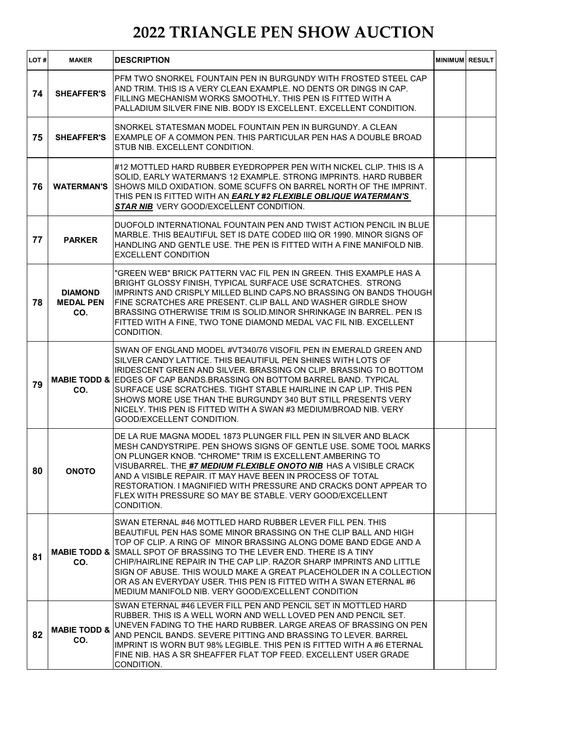| LOT# | <b>MAKER</b>                              | <b>DESCRIPTION</b>                                                                                                                                                                                                                                                                                                                                                                                                                                                                                                                                              | <b>MINIMUM RESULT</b> |  |
|------|-------------------------------------------|-----------------------------------------------------------------------------------------------------------------------------------------------------------------------------------------------------------------------------------------------------------------------------------------------------------------------------------------------------------------------------------------------------------------------------------------------------------------------------------------------------------------------------------------------------------------|-----------------------|--|
| 74   | <b>SHEAFFER'S</b>                         | PFM TWO SNORKEL FOUNTAIN PEN IN BURGUNDY WITH FROSTED STEEL CAP<br>AND TRIM. THIS IS A VERY CLEAN EXAMPLE. NO DENTS OR DINGS IN CAP.<br>FILLING MECHANISM WORKS SMOOTHLY. THIS PEN IS FITTED WITH A<br>PALLADIUM SILVER FINE NIB. BODY IS EXCELLENT. EXCELLENT CONDITION.                                                                                                                                                                                                                                                                                       |                       |  |
| 75   | <b>SHEAFFER'S</b>                         | SNORKEL STATESMAN MODEL FOUNTAIN PEN IN BURGUNDY. A CLEAN<br>EXAMPLE OF A COMMON PEN. THIS PARTICULAR PEN HAS A DOUBLE BROAD<br>STUB NIB. EXCELLENT CONDITION.                                                                                                                                                                                                                                                                                                                                                                                                  |                       |  |
| 76   | <b>WATERMAN'S</b>                         | #12 MOTTLED HARD RUBBER EYEDROPPER PEN WITH NICKEL CLIP. THIS IS A<br>SOLID, EARLY WATERMAN'S 12 EXAMPLE. STRONG IMPRINTS. HARD RUBBER<br>SHOWS MILD OXIDATION. SOME SCUFFS ON BARREL NORTH OF THE IMPRINT.<br>THIS PEN IS FITTED WITH AN EARLY #2 FLEXIBLE OBLIQUE WATERMAN'S<br>STAR NIB VERY GOOD/EXCELLENT CONDITION.                                                                                                                                                                                                                                       |                       |  |
| 77   | <b>PARKER</b>                             | DUOFOLD INTERNATIONAL FOUNTAIN PEN AND TWIST ACTION PENCIL IN BLUE<br>MARBLE. THIS BEAUTIFUL SET IS DATE CODED IIIQ OR 1990. MINOR SIGNS OF<br>HANDLING AND GENTLE USE. THE PEN IS FITTED WITH A FINE MANIFOLD NIB.<br><b>EXCELLENT CONDITION</b>                                                                                                                                                                                                                                                                                                               |                       |  |
| 78   | <b>DIAMOND</b><br><b>MEDAL PEN</b><br>CO. | "GREEN WEB" BRICK PATTERN VAC FIL PEN IN GREEN. THIS EXAMPLE HAS A<br>BRIGHT GLOSSY FINISH, TYPICAL SURFACE USE SCRATCHES. STRONG<br>IMPRINTS AND CRISPLY MILLED BLIND CAPS.NO BRASSING ON BANDS THOUGH<br>FINE SCRATCHES ARE PRESENT. CLIP BALL AND WASHER GIRDLE SHOW<br>BRASSING OTHERWISE TRIM IS SOLID.MINOR SHRINKAGE IN BARREL. PEN IS<br>FITTED WITH A FINE, TWO TONE DIAMOND MEDAL VAC FIL NIB. EXCELLENT<br>CONDITION.                                                                                                                                |                       |  |
| 79   | CO.                                       | SWAN OF ENGLAND MODEL #VT340/76 VISOFIL PEN IN EMERALD GREEN AND<br>SILVER CANDY LATTICE. THIS BEAUTIFUL PEN SHINES WITH LOTS OF<br>IRIDESCENT GREEN AND SILVER. BRASSING ON CLIP. BRASSING TO BOTTOM<br><b>MABIE TODD &amp; EDGES OF CAP BANDS BRASSING ON BOTTOM BARREL BAND. TYPICAL</b><br>SURFACE USE SCRATCHES. TIGHT STABLE HAIRLINE IN CAP LIP. THIS PEN<br>SHOWS MORE USE THAN THE BURGUNDY 340 BUT STILL PRESENTS VERY<br>NICELY. THIS PEN IS FITTED WITH A SWAN #3 MEDIUM/BROAD NIB. VERY<br>GOOD/EXCELLENT CONDITION.                               |                       |  |
| 80   | <b>ONOTO</b>                              | DE LA RUE MAGNA MODEL 1873 PLUNGER FILL PEN IN SILVER AND BLACK<br>MESH CANDYSTRIPE. PEN SHOWS SIGNS OF GENTLE USE, SOME TOOL MARKS<br>ON PLUNGER KNOB. "CHROME" TRIM IS EXCELLENT.AMBERING TO<br>VISUBARREL. THE #7 MEDIUM FLEXIBLE ONOTO NIB HAS A VISIBLE CRACK<br>AND A VISIBLE REPAIR. IT MAY HAVE BEEN IN PROCESS OF TOTAL<br>RESTORATION. I MAGNIFIED WITH PRESSURE AND CRACKS DONT APPEAR TO<br>FLEX WITH PRESSURE SO MAY BE STABLE. VERY GOOD/EXCELLENT<br>CONDITION.                                                                                  |                       |  |
| 81   | CO.                                       | SWAN ETERNAL #46 MOTTLED HARD RUBBER LEVER FILL PEN. THIS<br>BEAUTIFUL PEN HAS SOME MINOR BRASSING ON THE CLIP BALL AND HIGH<br>TOP OF CLIP. A RING OF MINOR BRASSING ALONG DOME BAND EDGE AND A<br><b>MABIE TODD &amp; I</b> SMALL SPOT OF BRASSING TO THE LEVER END. THERE IS A TINY<br>CHIP/HAIRLINE REPAIR IN THE CAP LIP. RAZOR SHARP IMPRINTS AND LITTLE<br>SIGN OF ABUSE. THIS WOULD MAKE A GREAT PLACEHOLDER IN A COLLECTION<br>OR AS AN EVERYDAY USER. THIS PEN IS FITTED WITH A SWAN ETERNAL #6<br>MEDIUM MANIFOLD NIB. VERY GOOD/EXCELLENT CONDITION |                       |  |
| 82   | <b>MABIE TODD &amp;</b><br>CO.            | SWAN ETERNAL #46 LEVER FILL PEN AND PENCIL SET IN MOTTLED HARD<br>RUBBER. THIS IS A WELL WORN AND WELL LOVED PEN AND PENCIL SET.<br>UNEVEN FADING TO THE HARD RUBBER. LARGE AREAS OF BRASSING ON PEN<br>AND PENCIL BANDS. SEVERE PITTING AND BRASSING TO LEVER. BARREL<br>IMPRINT IS WORN BUT 98% LEGIBLE. THIS PEN IS FITTED WITH A #6 ETERNAL<br>FINE NIB. HAS A SR SHEAFFER FLAT TOP FEED. EXCELLENT USER GRADE<br>CONDITION.                                                                                                                                |                       |  |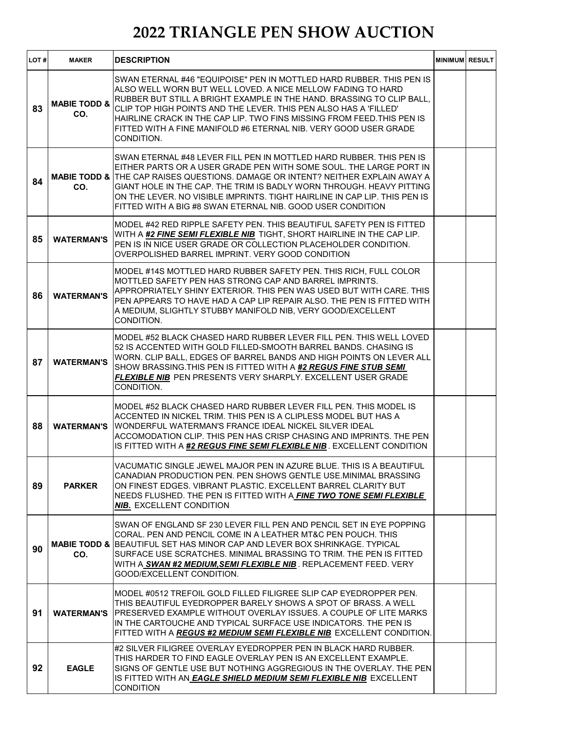| LOT# | <b>MAKER</b>                   | <b>DESCRIPTION</b>                                                                                                                                                                                                                                                                                                                                                                                                                                         | <b>MINIMUM RESULT</b> |  |
|------|--------------------------------|------------------------------------------------------------------------------------------------------------------------------------------------------------------------------------------------------------------------------------------------------------------------------------------------------------------------------------------------------------------------------------------------------------------------------------------------------------|-----------------------|--|
| 83   | <b>MABIE TODD &amp;</b><br>CO. | SWAN ETERNAL #46 "EQUIPOISE" PEN IN MOTTLED HARD RUBBER. THIS PEN IS<br>ALSO WELL WORN BUT WELL LOVED. A NICE MELLOW FADING TO HARD<br>RUBBER BUT STILL A BRIGHT EXAMPLE IN THE HAND. BRASSING TO CLIP BALL.<br>CLIP TOP HIGH POINTS AND THE LEVER. THIS PEN ALSO HAS A 'FILLED'<br>HAIRLINE CRACK IN THE CAP LIP. TWO FINS MISSING FROM FEED.THIS PEN IS<br>FITTED WITH A FINE MANIFOLD #6 ETERNAL NIB. VERY GOOD USER GRADE<br>CONDITION.                |                       |  |
| 84   | CO.                            | SWAN ETERNAL #48 LEVER FILL PEN IN MOTTLED HARD RUBBER. THIS PEN IS<br>EITHER PARTS OR A USER GRADE PEN WITH SOME SOUL. THE LARGE PORT IN<br><b>MABIE TODD &amp; THE CAP RAISES QUESTIONS. DAMAGE OR INTENT? NEITHER EXPLAIN AWAY A</b><br>GIANT HOLE IN THE CAP. THE TRIM IS BADLY WORN THROUGH. HEAVY PITTING<br>ON THE LEVER. NO VISIBLE IMPRINTS, TIGHT HAIRLINE IN CAP LIP. THIS PEN IS<br>FITTED WITH A BIG #8 SWAN ETERNAL NIB. GOOD USER CONDITION |                       |  |
| 85   | <b>WATERMAN'S</b>              | MODEL #42 RED RIPPLE SAFETY PEN. THIS BEAUTIFUL SAFETY PEN IS FITTED<br>WITH A #2 FINE SEMI FLEXIBLE NIB TIGHT, SHORT HAIRLINE IN THE CAP LIP.<br>PEN IS IN NICE USER GRADE OR COLLECTION PLACEHOLDER CONDITION.<br>OVERPOLISHED BARREL IMPRINT. VERY GOOD CONDITION                                                                                                                                                                                       |                       |  |
| 86   | <b>WATERMAN'S</b>              | MODEL #14S MOTTLED HARD RUBBER SAFETY PEN. THIS RICH, FULL COLOR<br>MOTTLED SAFETY PEN HAS STRONG CAP AND BARREL IMPRINTS.<br>APPROPRIATELY SHINY EXTERIOR. THIS PEN WAS USED BUT WITH CARE. THIS<br>IPEN APPEARS TO HAVE HAD A CAP LIP REPAIR ALSO. THE PEN IS FITTED WITH<br>A MEDIUM, SLIGHTLY STUBBY MANIFOLD NIB, VERY GOOD/EXCELLENT<br>CONDITION.                                                                                                   |                       |  |
| 87   | <b>WATERMAN'S</b>              | MODEL #52 BLACK CHASED HARD RUBBER LEVER FILL PEN. THIS WELL LOVED<br>52 IS ACCENTED WITH GOLD FILLED-SMOOTH BARREL BANDS. CHASING IS<br>WORN. CLIP BALL, EDGES OF BARREL BANDS AND HIGH POINTS ON LEVER ALL<br>SHOW BRASSING.THIS PEN IS FITTED WITH A #2 REGUS FINE STUB SEMI<br>FLEXIBLE NIB PEN PRESENTS VERY SHARPLY. EXCELLENT USER GRADE<br>CONDITION.                                                                                              |                       |  |
| 88   | <b>WATERMAN'S</b>              | MODEL #52 BLACK CHASED HARD RUBBER LEVER FILL PEN. THIS MODEL IS<br>IACCENTED IN NICKEL TRIM. THIS PEN IS A CLIPLESS MODEL BUT HAS A<br>IWONDERFUL WATERMAN'S FRANCE IDEAL NICKEL SILVER IDEAL<br>ACCOMODATION CLIP. THIS PEN HAS CRISP CHASING AND IMPRINTS. THE PEN<br>IS FITTED WITH A #2 REGUS FINE SEMI FLEXIBLE NIB. EXCELLENT CONDITION                                                                                                             |                       |  |
| 89   | <b>PARKER</b>                  | VACUMATIC SINGLE JEWEL MAJOR PEN IN AZURE BLUE. THIS IS A BEAUTIFUL<br>CANADIAN PRODUCTION PEN. PEN SHOWS GENTLE USE MINIMAL BRASSING<br>ON FINEST EDGES. VIBRANT PLASTIC. EXCELLENT BARREL CLARITY BUT<br>NEEDS FLUSHED. THE PEN IS FITTED WITH A FINE TWO TONE SEMI FLEXIBLE<br><b>NIB.</b> EXCELLENT CONDITION                                                                                                                                          |                       |  |
| 90   | CO.                            | SWAN OF ENGLAND SF 230 LEVER FILL PEN AND PENCIL SET IN EYE POPPING<br>CORAL, PEN AND PENCIL COME IN A LEATHER MT&C PEN POUCH. THIS<br><b>MABIE TODD &amp; BEAUTIFUL SET HAS MINOR CAP AND LEVER BOX SHRINKAGE. TYPICAL</b><br>SURFACE USE SCRATCHES. MINIMAL BRASSING TO TRIM. THE PEN IS FITTED<br>WITH A SWAN #2 MEDIUM, SEMI FLEXIBLE NIB. REPLACEMENT FEED. VERY<br>GOOD/EXCELLENT CONDITION.                                                         |                       |  |
| 91   | <b>WATERMAN'S</b>              | IMODEL #0512 TREFOIL GOLD FILLED FILIGREE SLIP CAP EYEDROPPER PEN.<br>THIS BEAUTIFUL EYEDROPPER BARELY SHOWS A SPOT OF BRASS. A WELL<br><b>PRESERVED EXAMPLE WITHOUT OVERLAY ISSUES. A COUPLE OF LITE MARKS</b><br>IN THE CARTOUCHE AND TYPICAL SURFACE USE INDICATORS. THE PEN IS<br>FITTED WITH A REGUS #2 MEDIUM SEMI FLEXIBLE NIB EXCELLENT CONDITION.                                                                                                 |                       |  |
| 92   | <b>EAGLE</b>                   | #2 SILVER FILIGREE OVERLAY EYEDROPPER PEN IN BLACK HARD RUBBER.<br>THIS HARDER TO FIND EAGLE OVERLAY PEN IS AN EXCELLENT EXAMPLE.<br>SIGNS OF GENTLE USE BUT NOTHING AGGREGIOUS IN THE OVERLAY. THE PEN<br>IS FITTED WITH AN <b>EAGLE SHIELD MEDIUM SEMI FLEXIBLE NIB</b> EXCELLENT<br><b>CONDITION</b>                                                                                                                                                    |                       |  |